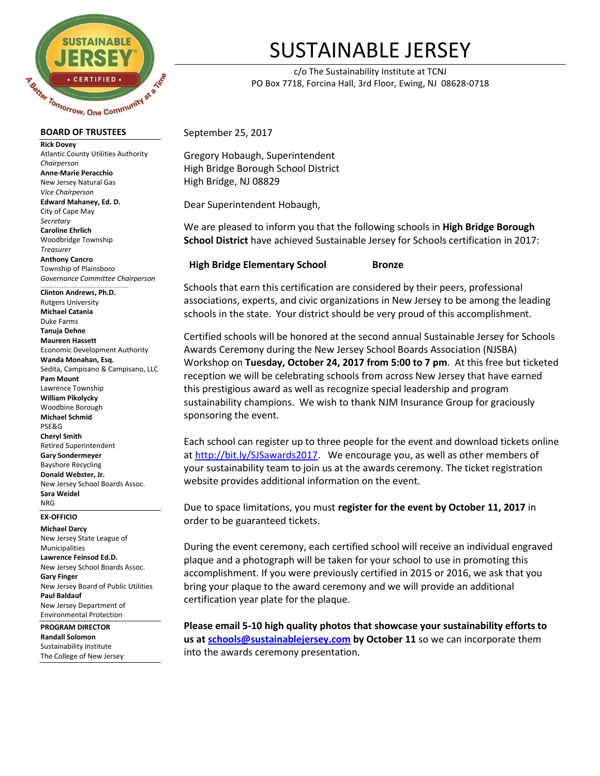

#### **BOARD OF TRUSTEES**

**Rick Dovey** Atlantic County Utilities Authority *Chairperson* **Anne-Marie Peracchio** New Jersey Natural Gas *Vice Chairperson* **Edward Mahaney, Ed. D.** City of Cape May *Secretary* **Caroline Ehrlich** Woodbridge Township *Treasurer* **Anthony Cancro** Township of Plainsboro *Governance Committee Chairperson*

 $\_$  ,  $\_$  ,  $\_$  ,  $\_$  ,  $\_$  ,  $\_$  ,  $\_$  ,  $\_$  ,  $\_$  ,  $\_$  ,  $\_$  ,  $\_$  ,  $\_$  ,  $\_$ **Clinton Andrews, Ph.D.** Rutgers University **Michael Catania** Duke Farms **Tanuja Dehne Maureen Hassett** Economic Development Authority **Wanda Monahan, Esq.** Sedita, Campisano & Campisano, LLC **Pam Mount** Lawrence Township **William Pikolycky** Woodbine Borough **Michael Schmid** PSE&G **Cheryl Smith** Retired Superintendent **Gary Sondermeyer** Bayshore Recycling **Donald Webster, Jr.**  New Jersey School Boards Assoc. **Sara Weidel** NRG

### **EX-OFFICIO**

**Michael Darcy** New Jersey State League of Municipalities **Lawrence Feinsod Ed.D.** New Jersey School Boards Assoc. **Gary Finger** New Jersey Board of Public Utilities **Paul Baldauf** New Jersey Department of Environmental Protection

#### **PROGRAM DIRECTOR**

**Randall Solomon** Sustainability Institute The College of New Jersey

# SUSTAINABLE JERSEY

c/o The Sustainability Institute at TCNJ PO Box 7718, Forcina Hall, 3rd Floor, Ewing, NJ 08628-0718

September 25, 2017

Gregory Hobaugh, Superintendent High Bridge Borough School District High Bridge, NJ 08829

Dear Superintendent Hobaugh,

We are pleased to inform you that the following schools in **High Bridge Borough School District** have achieved Sustainable Jersey for Schools certification in 2017:

### **High Bridge Elementary School Bronze**

Schools that earn this certification are considered by their peers, professional associations, experts, and civic organizations in New Jersey to be among the leading schools in the state. Your district should be very proud of this accomplishment.

Certified schools will be honored at the second annual Sustainable Jersey for Schools Awards Ceremony during the New Jersey School Boards Association (NJSBA) Workshop on **Tuesday, October 24, 2017 from 5:00 to 7 pm**. At this free but ticketed reception we will be celebrating schools from across New Jersey that have earned this prestigious award as well as recognize special leadership and program sustainability champions. We wish to thank NJM Insurance Group for graciously sponsoring the event.

Each school can register up to three people for the event and download tickets online at [http://bit.ly/SJSawards2017.](http://bit.ly/SJSawards2017) We encourage you, as well as other members of your sustainability team to join us at the awards ceremony. The ticket registration website provides additional information on the event.

Due to space limitations, you must **register for the event by October 11, 2017** in order to be guaranteed tickets.

During the event ceremony, each certified school will receive an individual engraved plaque and a photograph will be taken for your school to use in promoting this accomplishment. If you were previously certified in 2015 or 2016, we ask that you bring your plaque to the award ceremony and we will provide an additional certification year plate for the plaque.

**Please email 5-10 high quality photos that showcase your sustainability efforts to us at [schools@sustainablejersey.com](mailto:schools@sustainablejersey.com) by October 11** so we can incorporate them into the awards ceremony presentation.